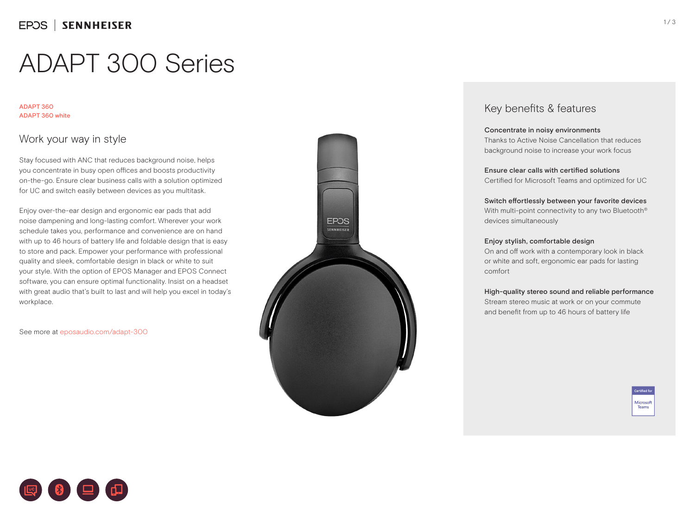# ADAPT 300 Series

### ADAPT 360 ADAPT 360 white

### Work your way in style

Stay focused with ANC that reduces background noise, helps you concentrate in busy open offices and boosts productivity on-the-go. Ensure clear business calls with a solution optimized for UC and switch easily between devices as you multitask.

Enjoy over-the-ear design and ergonomic ear pads that add noise dampening and long-lasting comfort. Wherever your work schedule takes you, performance and convenience are on hand with up to 46 hours of battery life and foldable design that is easy to store and pack. Empower your performance with professional quality and sleek, comfortable design in black or white to suit your style. With the option of EPOS Manager and EPOS Connect software, you can ensure optimal functionality. Insist on a headset with great audio that's built to last and will help you excel in today's workplace.

See more at eposaudio.com/adapt-300



### Key benefits & features

### Concentrate in noisy environments

Thanks to Active Noise Cancellation that reduces background noise to increase your work focus

Ensure clear calls with certified solutions Certified for Microsoft Teams and optimized for UC

Switch effortlessly between your favorite devices With multi-point connectivity to any two Bluetooth<sup>®</sup> devices simultaneously

### Enjoy stylish, comfortable design

On and off work with a contemporary look in black or white and soft, ergonomic ear pads for lasting comfort

### High-quality stereo sound and reliable performance

Stream stereo music at work or on your commute and benefit from up to 46 hours of battery life



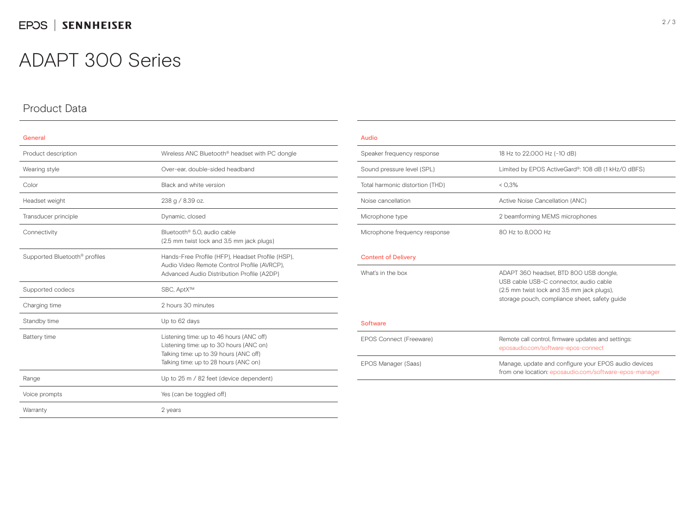## ADAPT 300 Series

### Product Data

| General                                   |                                                                                                                                                                        |  |  |
|-------------------------------------------|------------------------------------------------------------------------------------------------------------------------------------------------------------------------|--|--|
| Product description                       | Wireless ANC Bluetooth <sup>®</sup> headset with PC dongle                                                                                                             |  |  |
| Wearing style                             | Over-ear, double-sided headband                                                                                                                                        |  |  |
| Color                                     | Black and white version                                                                                                                                                |  |  |
| Headset weight                            | 238 g / 8.39 oz.                                                                                                                                                       |  |  |
| Transducer principle                      | Dynamic, closed                                                                                                                                                        |  |  |
| Connectivity                              | Bluetooth <sup>®</sup> 5.0. audio cable<br>(2.5 mm twist lock and 3.5 mm jack plugs)                                                                                   |  |  |
| Supported Bluetooth <sup>®</sup> profiles | Hands-Free Profile (HFP), Headset Profile (HSP),<br>Audio Video Remote Control Profile (AVRCP),<br>Advanced Audio Distribution Profile (A2DP)                          |  |  |
| Supported codecs                          | SBC, AptX™                                                                                                                                                             |  |  |
| Charging time                             | 2 hours 30 minutes                                                                                                                                                     |  |  |
| Standby time                              | Up to 62 days                                                                                                                                                          |  |  |
| Battery time                              | Listening time: up to 46 hours (ANC off)<br>Listening time: up to 30 hours (ANC on)<br>Talking time: up to 39 hours (ANC off)<br>Talking time: up to 28 hours (ANC on) |  |  |
| Range                                     | Up to 25 m / 82 feet (device dependent)                                                                                                                                |  |  |
| Voice prompts                             | Yes (can be toggled off)                                                                                                                                               |  |  |
| Warranty                                  | 2 years                                                                                                                                                                |  |  |

### Audio Speaker frequency response 18 Hz to 22,000 Hz (-10 dB) Sound pressure level (SPL) Limited by EPOS ActiveGard®: 108 dB (1 kHz/O dBFS) Total harmonic distortion (THD)  $<$  0,3% Noise cancellation and active Noise Cancellation (ANC) Microphone type 2 beamforming MEMS microphones Microphone frequency response 80 Hz to 8,000 Hz Content of Delivery What's in the box **ADAPT 360 headset, BTD 800 USB dongle**, USB cable USB-C connector, audio cable (2.5 mm twist lock and 3.5 mm jack plugs), storage pouch, compliance sheet, safety guide Software EPOS Connect (Freeware) Remote call control, firmware updates and settings: eposaudio.com/software-epos-connect EPOS Manager (Saas) Manage, update and configure your EPOS audio devices from one location: eposaudio.com/software-epos-manager